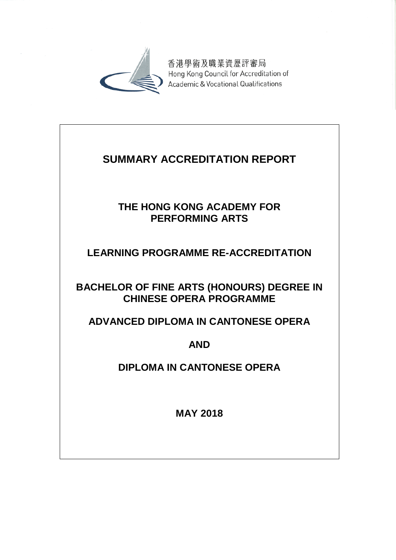

香港學術及職業資歷評審局 Hong Kong Council for Accreditation of Academic & Vocational Qualifications

# **SUMMARY ACCREDITATION REPORT**

## **THE HONG KONG ACADEMY FOR PERFORMING ARTS**

## **LEARNING PROGRAMME RE-ACCREDITATION**

## **BACHELOR OF FINE ARTS (HONOURS) DEGREE IN CHINESE OPERA PROGRAMME**

## **ADVANCED DIPLOMA IN CANTONESE OPERA**

## **AND**

## **DIPLOMA IN CANTONESE OPERA**

**MAY 2018**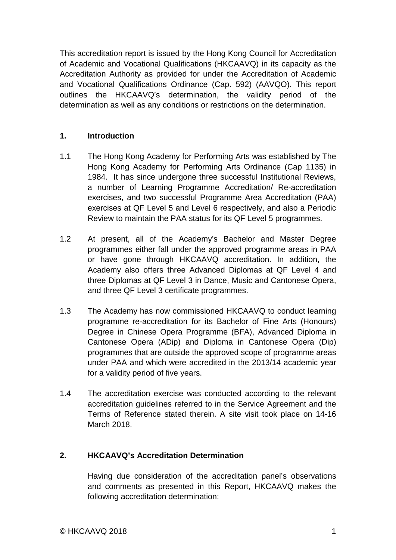This accreditation report is issued by the Hong Kong Council for Accreditation of Academic and Vocational Qualifications (HKCAAVQ) in its capacity as the Accreditation Authority as provided for under the Accreditation of Academic and Vocational Qualifications Ordinance (Cap. 592) (AAVQO). This report outlines the HKCAAVQ's determination, the validity period of the determination as well as any conditions or restrictions on the determination.

#### **1. Introduction**

- 1.1 The Hong Kong Academy for Performing Arts was established by The Hong Kong Academy for Performing Arts Ordinance (Cap 1135) in 1984. It has since undergone three successful Institutional Reviews, a number of Learning Programme Accreditation/ Re-accreditation exercises, and two successful Programme Area Accreditation (PAA) exercises at QF Level 5 and Level 6 respectively, and also a Periodic Review to maintain the PAA status for its QF Level 5 programmes.
- 1.2 At present, all of the Academy's Bachelor and Master Degree programmes either fall under the approved programme areas in PAA or have gone through HKCAAVQ accreditation. In addition, the Academy also offers three Advanced Diplomas at QF Level 4 and three Diplomas at QF Level 3 in Dance, Music and Cantonese Opera, and three QF Level 3 certificate programmes.
- 1.3 The Academy has now commissioned HKCAAVQ to conduct learning programme re-accreditation for its Bachelor of Fine Arts (Honours) Degree in Chinese Opera Programme (BFA), Advanced Diploma in Cantonese Opera (ADip) and Diploma in Cantonese Opera (Dip) programmes that are outside the approved scope of programme areas under PAA and which were accredited in the 2013/14 academic year for a validity period of five years.
- 1.4 The accreditation exercise was conducted according to the relevant accreditation guidelines referred to in the Service Agreement and the Terms of Reference stated therein. A site visit took place on 14-16 March 2018.

## **2. HKCAAVQ's Accreditation Determination**

Having due consideration of the accreditation panel's observations and comments as presented in this Report, HKCAAVQ makes the following accreditation determination: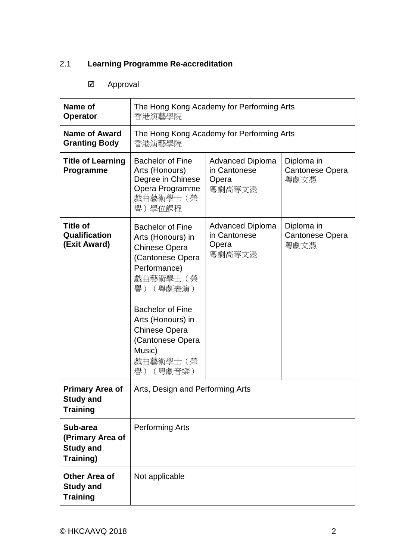## 2.1 **Learning Programme Re-accreditation**

## Approval

| Name of<br><b>Operator</b>                                    | The Hong Kong Academy for Performing Arts<br>香港演藝學院                                                                                                                                                                                                                  |                                                            |                                              |  |
|---------------------------------------------------------------|----------------------------------------------------------------------------------------------------------------------------------------------------------------------------------------------------------------------------------------------------------------------|------------------------------------------------------------|----------------------------------------------|--|
| Name of Award<br><b>Granting Body</b>                         | The Hong Kong Academy for Performing Arts<br>香港演藝學院                                                                                                                                                                                                                  |                                                            |                                              |  |
| <b>Title of Learning</b><br>Programme                         | <b>Bachelor of Fine</b><br><b>Advanced Diploma</b><br>Arts (Honours)<br>in Cantonese<br>Degree in Chinese<br>Opera<br>Opera Programme<br>粵劇高等文憑<br>戲曲藝術學士(榮<br>譽)學位課程                                                                                                |                                                            | Diploma in<br>Cantonese Opera<br>粵劇文憑        |  |
| <b>Title of</b><br>Qualification<br>(Exit Award)              | <b>Bachelor of Fine</b><br>Arts (Honours) in<br><b>Chinese Opera</b><br>(Cantonese Opera<br>Performance)<br>戲曲藝術學士(榮<br>(粵劇表演)<br>譽)<br><b>Bachelor of Fine</b><br>Arts (Honours) in<br><b>Chinese Opera</b><br>(Cantonese Opera<br>Music)<br>戲曲藝術學士 (榮<br>譽) (粵劇音樂) | <b>Advanced Diploma</b><br>in Cantonese<br>Opera<br>粵劇高等文憑 | Diploma in<br><b>Cantonese Opera</b><br>粵劇文憑 |  |
| <b>Primary Area of</b><br><b>Study and</b><br><b>Training</b> | Arts, Design and Performing Arts                                                                                                                                                                                                                                     |                                                            |                                              |  |
| Sub-area<br>(Primary Area of<br><b>Study and</b><br>Training) | <b>Performing Arts</b>                                                                                                                                                                                                                                               |                                                            |                                              |  |
| <b>Other Area of</b><br><b>Study and</b><br><b>Training</b>   | Not applicable                                                                                                                                                                                                                                                       |                                                            |                                              |  |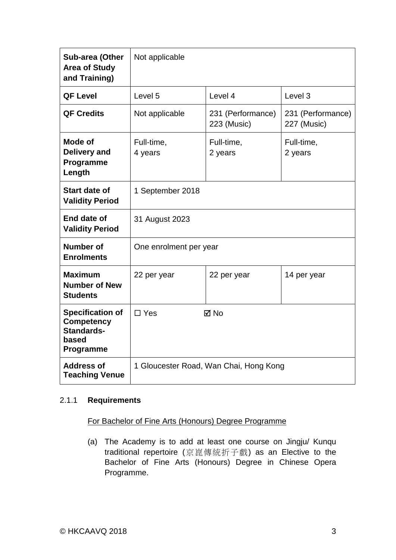| Sub-area (Other<br><b>Area of Study</b><br>and Training)                         | Not applicable                                 |                                  |                       |  |
|----------------------------------------------------------------------------------|------------------------------------------------|----------------------------------|-----------------------|--|
| <b>QF Level</b>                                                                  | Level 5<br>Level 4<br>Level 3                  |                                  |                       |  |
| <b>QF Credits</b>                                                                | Not applicable                                 | 231 (Performance)<br>223 (Music) |                       |  |
| <b>Mode of</b><br><b>Delivery and</b><br>Programme<br>Length                     | Full-time,<br>Full-time,<br>4 years<br>2 years |                                  | Full-time,<br>2 years |  |
| <b>Start date of</b><br><b>Validity Period</b>                                   | 1 September 2018                               |                                  |                       |  |
| End date of<br><b>Validity Period</b>                                            | 31 August 2023                                 |                                  |                       |  |
| Number of<br><b>Enrolments</b>                                                   | One enrolment per year                         |                                  |                       |  |
| <b>Maximum</b><br><b>Number of New</b><br><b>Students</b>                        | 22 per year                                    | 14 per year<br>22 per year       |                       |  |
| <b>Specification of</b><br><b>Competency</b><br>Standards-<br>based<br>Programme | $\Box$ Yes                                     | $\boxtimes$ No                   |                       |  |
| <b>Address of</b><br><b>Teaching Venue</b>                                       | 1 Gloucester Road, Wan Chai, Hong Kong         |                                  |                       |  |

## 2.1.1 **Requirements**

## For Bachelor of Fine Arts (Honours) Degree Programme

(a) The Academy is to add at least one course on Jingju/ Kunqu traditional repertoire (京崑傳統折子戲) as an Elective to the Bachelor of Fine Arts (Honours) Degree in Chinese Opera Programme.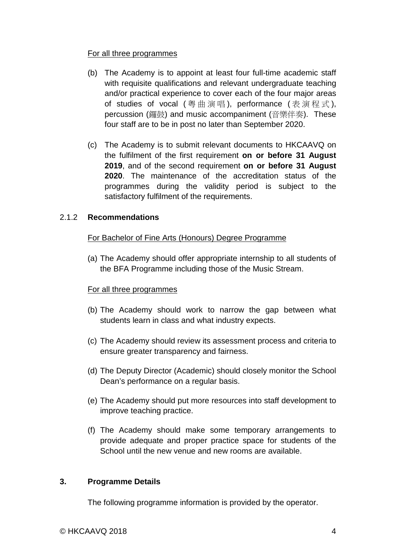#### For all three programmes

- (b) The Academy is to appoint at least four full-time academic staff with requisite qualifications and relevant undergraduate teaching and/or practical experience to cover each of the four major areas of studies of vocal (粵曲演唱), performance (表演程式), percussion (鑼鼓) and music accompaniment (音樂伴奏). These four staff are to be in post no later than September 2020.
- (c) The Academy is to submit relevant documents to HKCAAVQ on the fulfilment of the first requirement **on or before 31 August 2019**, and of the second requirement **on or before 31 August 2020**. The maintenance of the accreditation status of the programmes during the validity period is subject to the satisfactory fulfilment of the requirements.

#### 2.1.2 **Recommendations**

#### For Bachelor of Fine Arts (Honours) Degree Programme

(a) The Academy should offer appropriate internship to all students of the BFA Programme including those of the Music Stream.

#### For all three programmes

- (b) The Academy should work to narrow the gap between what students learn in class and what industry expects.
- (c) The Academy should review its assessment process and criteria to ensure greater transparency and fairness.
- (d) The Deputy Director (Academic) should closely monitor the School Dean's performance on a regular basis.
- (e) The Academy should put more resources into staff development to improve teaching practice.
- (f) The Academy should make some temporary arrangements to provide adequate and proper practice space for students of the School until the new venue and new rooms are available.

#### **3. Programme Details**

The following programme information is provided by the operator.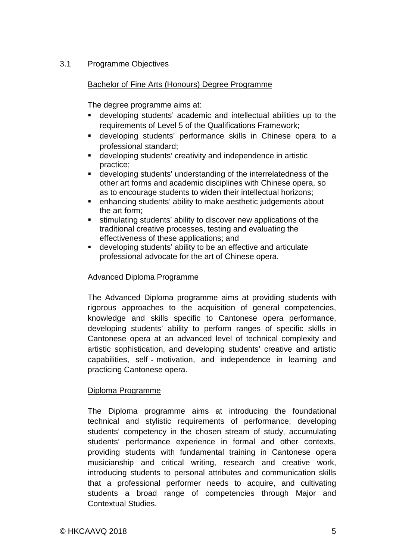### 3.1 Programme Objectives

#### Bachelor of Fine Arts (Honours) Degree Programme

The degree programme aims at:

- developing students' academic and intellectual abilities up to the requirements of Level 5 of the Qualifications Framework;
- developing students' performance skills in Chinese opera to a professional standard;
- developing students' creativity and independence in artistic practice;
- developing students' understanding of the interrelatedness of the other art forms and academic disciplines with Chinese opera, so as to encourage students to widen their intellectual horizons;
- enhancing students' ability to make aesthetic judgements about the art form;
- stimulating students' ability to discover new applications of the traditional creative processes, testing and evaluating the effectiveness of these applications; and
- developing students' ability to be an effective and articulate professional advocate for the art of Chinese opera.

### Advanced Diploma Programme

The Advanced Diploma programme aims at providing students with rigorous approaches to the acquisition of general competencies, knowledge and skills specific to Cantonese opera performance, developing students' ability to perform ranges of specific skills in Cantonese opera at an advanced level of technical complexity and artistic sophistication, and developing students' creative and artistic capabilities, self ‐ motivation, and independence in learning and practicing Cantonese opera.

#### Diploma Programme

The Diploma programme aims at introducing the foundational technical and stylistic requirements of performance; developing students' competency in the chosen stream of study, accumulating students' performance experience in formal and other contexts, providing students with fundamental training in Cantonese opera musicianship and critical writing, research and creative work, introducing students to personal attributes and communication skills that a professional performer needs to acquire, and cultivating students a broad range of competencies through Major and Contextual Studies.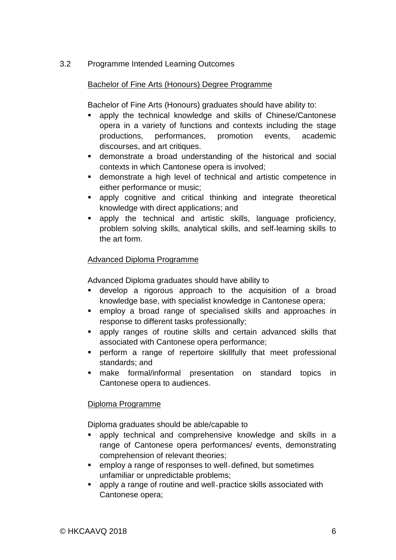## 3.2 Programme Intended Learning Outcomes

#### Bachelor of Fine Arts (Honours) Degree Programme

Bachelor of Fine Arts (Honours) graduates should have ability to:

- apply the technical knowledge and skills of Chinese/Cantonese opera in a variety of functions and contexts including the stage productions, performances, promotion events, academic discourses, and art critiques.
- demonstrate a broad understanding of the historical and social contexts in which Cantonese opera is involved;
- demonstrate a high level of technical and artistic competence in either performance or music;
- apply cognitive and critical thinking and integrate theoretical knowledge with direct applications; and
- apply the technical and artistic skills, language proficiency, problem solving skills, analytical skills, and self‐learning skills to the art form.

#### Advanced Diploma Programme

Advanced Diploma graduates should have ability to

- develop a rigorous approach to the acquisition of a broad knowledge base, with specialist knowledge in Cantonese opera;
- employ a broad range of specialised skills and approaches in response to different tasks professionally;
- apply ranges of routine skills and certain advanced skills that associated with Cantonese opera performance;
- perform a range of repertoire skillfully that meet professional standards; and
- make formal/informal presentation on standard topics in Cantonese opera to audiences.

#### Diploma Programme

Diploma graduates should be able/capable to

- apply technical and comprehensive knowledge and skills in a range of Cantonese opera performances/ events, demonstrating comprehension of relevant theories;
- employ a range of responses to well-defined, but sometimes unfamiliar or unpredictable problems;
- apply a range of routine and well-practice skills associated with Cantonese opera;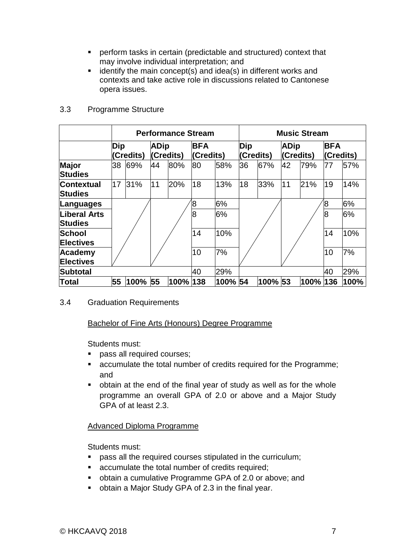- perform tasks in certain (predictable and structured) context that may involve individual interpretation; and
- $\blacksquare$  identify the main concept(s) and idea(s) in different works and contexts and take active role in discussions related to Cantonese opera issues.

|                                | <b>Performance Stream</b> |      |                          |      | <b>Music Stream</b>     |         |                  |         |                          |      |                         |      |
|--------------------------------|---------------------------|------|--------------------------|------|-------------------------|---------|------------------|---------|--------------------------|------|-------------------------|------|
|                                | Dip<br>(Credits)          |      | <b>ADip</b><br>(Credits) |      | <b>BFA</b><br>(Credits) |         | Dip<br>(Credits) |         | <b>ADip</b><br>(Credits) |      | <b>BFA</b><br>(Credits) |      |
| <b>Major</b><br><b>Studies</b> | 38                        | 69%  | 44                       | 80%  | 80                      | 58%     | 36               | 67%     | 42                       | 79%  | 77                      | 57%  |
| <b>Contextual</b><br>Studies   | 17                        | 31%  | 11                       | 20%  | 18                      | 13%     | 18               | 33%     | 11                       | 21%  | 19                      | 14%  |
| Languages                      |                           |      |                          |      | 8                       | 6%      |                  |         |                          |      | 8                       | 6%   |
| Liberal Arts<br>Studies        |                           |      |                          |      | 8                       | 6%      |                  |         |                          |      | 8                       | 6%   |
| <b>School</b>                  |                           |      |                          |      | 14                      | 10%     |                  |         |                          |      | 14                      | 10%  |
| <b>Electives</b>               |                           |      |                          |      |                         |         |                  |         |                          |      |                         |      |
| Academy<br><b>Electives</b>    |                           |      |                          |      | 10                      | 7%      |                  |         |                          |      | 10                      | 7%   |
| Subtotal                       |                           |      |                          |      | 40                      | 29%     |                  |         |                          |      | 40                      | 29%  |
| ∣Total                         | 55                        | 100% | 55                       | 100% | 138                     | 100% 54 |                  | 100% 53 |                          | 100% | 136                     | 100% |

#### 3.3 Programme Structure

#### 3.4 Graduation Requirements

#### Bachelor of Fine Arts (Honours) Degree Programme

Students must:

- pass all required courses;
- accumulate the total number of credits required for the Programme; and
- obtain at the end of the final year of study as well as for the whole programme an overall GPA of 2.0 or above and a Major Study GPA of at least 2.3.

## Advanced Diploma Programme

Students must:

- pass all the required courses stipulated in the curriculum;
- accumulate the total number of credits required;
- obtain a cumulative Programme GPA of 2.0 or above; and
- obtain a Major Study GPA of 2.3 in the final year.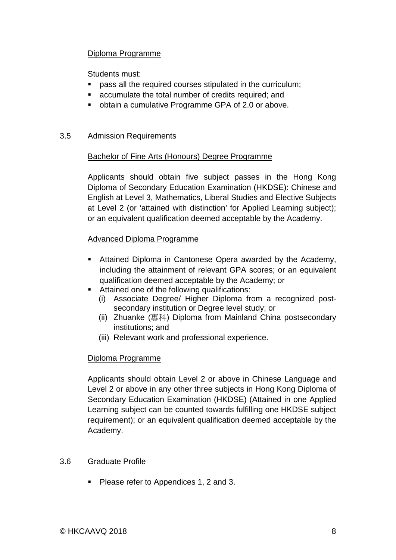#### Diploma Programme

Students must:

- pass all the required courses stipulated in the curriculum;
- accumulate the total number of credits required; and
- obtain a cumulative Programme GPA of 2.0 or above.

#### 3.5 Admission Requirements

#### Bachelor of Fine Arts (Honours) Degree Programme

Applicants should obtain five subject passes in the Hong Kong Diploma of Secondary Education Examination (HKDSE): Chinese and English at Level 3, Mathematics, Liberal Studies and Elective Subjects at Level 2 (or 'attained with distinction' for Applied Learning subject); or an equivalent qualification deemed acceptable by the Academy.

#### Advanced Diploma Programme

- Attained Diploma in Cantonese Opera awarded by the Academy, including the attainment of relevant GPA scores; or an equivalent qualification deemed acceptable by the Academy; or
- Attained one of the following qualifications:
	- (i) Associate Degree/ Higher Diploma from a recognized postsecondary institution or Degree level study; or
	- (ii) Zhuanke (專科) Diploma from Mainland China postsecondary institutions; and
	- (iii) Relevant work and professional experience.

## Diploma Programme

Applicants should obtain Level 2 or above in Chinese Language and Level 2 or above in any other three subjects in Hong Kong Diploma of Secondary Education Examination (HKDSE) (Attained in one Applied Learning subject can be counted towards fulfilling one HKDSE subject requirement); or an equivalent qualification deemed acceptable by the Academy.

#### 3.6 Graduate Profile

Please refer to Appendices 1, 2 and 3.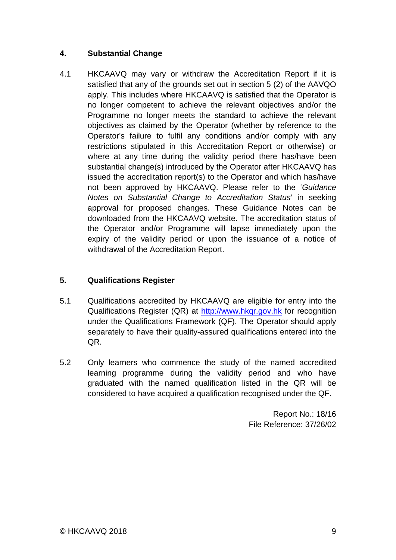## **4. Substantial Change**

4.1 HKCAAVQ may vary or withdraw the Accreditation Report if it is satisfied that any of the grounds set out in section 5 (2) of the AAVQO apply. This includes where HKCAAVQ is satisfied that the Operator is no longer competent to achieve the relevant objectives and/or the Programme no longer meets the standard to achieve the relevant objectives as claimed by the Operator (whether by reference to the Operator's failure to fulfil any conditions and/or comply with any restrictions stipulated in this Accreditation Report or otherwise) or where at any time during the validity period there has/have been substantial change(s) introduced by the Operator after HKCAAVQ has issued the accreditation report(s) to the Operator and which has/have not been approved by HKCAAVQ. Please refer to the '*Guidance Notes on Substantial Change to Accreditation Status*' in seeking approval for proposed changes. These Guidance Notes can be downloaded from the HKCAAVQ website. The accreditation status of the Operator and/or Programme will lapse immediately upon the expiry of the validity period or upon the issuance of a notice of withdrawal of the Accreditation Report.

## **5. Qualifications Register**

- 5.1 Qualifications accredited by HKCAAVQ are eligible for entry into the Qualifications Register (QR) at [http://www.hkqr.gov.hk](http://www.hkqr.gov.hk/) for recognition under the Qualifications Framework (QF). The Operator should apply separately to have their quality-assured qualifications entered into the QR.
- 5.2 Only learners who commence the study of the named accredited learning programme during the validity period and who have graduated with the named qualification listed in the QR will be considered to have acquired a qualification recognised under the QF.

Report No.: 18/16 File Reference: 37/26/02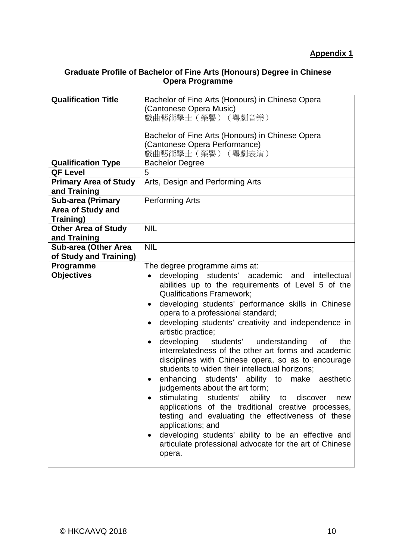## **Graduate Profile of Bachelor of Fine Arts (Honours) Degree in Chinese Opera Programme**

| <b>Qualification Title</b>   | Bachelor of Fine Arts (Honours) in Chinese Opera                 |  |  |
|------------------------------|------------------------------------------------------------------|--|--|
|                              | (Cantonese Opera Music)                                          |  |  |
|                              | 戲曲藝術學士 (榮譽) (粵劇音樂)                                               |  |  |
|                              |                                                                  |  |  |
|                              | Bachelor of Fine Arts (Honours) in Chinese Opera                 |  |  |
|                              | (Cantonese Opera Performance)                                    |  |  |
|                              | 戲曲藝術學士 (榮譽) (粵劇表演)                                               |  |  |
| <b>Qualification Type</b>    | <b>Bachelor Degree</b>                                           |  |  |
| <b>QF Level</b>              | 5                                                                |  |  |
| <b>Primary Area of Study</b> | Arts, Design and Performing Arts                                 |  |  |
| and Training                 |                                                                  |  |  |
| Sub-area (Primary            | <b>Performing Arts</b>                                           |  |  |
| <b>Area of Study and</b>     |                                                                  |  |  |
| Training)                    |                                                                  |  |  |
| <b>Other Area of Study</b>   | <b>NIL</b>                                                       |  |  |
| and Training                 |                                                                  |  |  |
| <b>Sub-area (Other Area</b>  | <b>NIL</b>                                                       |  |  |
| of Study and Training)       |                                                                  |  |  |
| Programme                    | The degree programme aims at:                                    |  |  |
| <b>Objectives</b>            | developing students' academic and intellectual<br>$\bullet$      |  |  |
|                              | abilities up to the requirements of Level 5 of the               |  |  |
|                              | <b>Qualifications Framework;</b>                                 |  |  |
|                              | developing students' performance skills in Chinese<br>$\bullet$  |  |  |
|                              | opera to a professional standard;                                |  |  |
|                              | developing students' creativity and independence in<br>$\bullet$ |  |  |
|                              | artistic practice;                                               |  |  |
|                              | developing<br>students' understanding<br>the<br>0f<br>$\bullet$  |  |  |
|                              | interrelatedness of the other art forms and academic             |  |  |
|                              | disciplines with Chinese opera, so as to encourage               |  |  |
|                              | students to widen their intellectual horizons;                   |  |  |
|                              | enhancing students' ability to<br>aesthetic<br>make              |  |  |
|                              | judgements about the art form;                                   |  |  |
|                              | stimulating students' ability to discover<br>new                 |  |  |
|                              | applications of the traditional creative processes,              |  |  |
|                              | testing and evaluating the effectiveness of these                |  |  |
|                              | applications; and                                                |  |  |
|                              | developing students' ability to be an effective and              |  |  |
|                              | articulate professional advocate for the art of Chinese          |  |  |
|                              | opera.                                                           |  |  |
|                              |                                                                  |  |  |
|                              |                                                                  |  |  |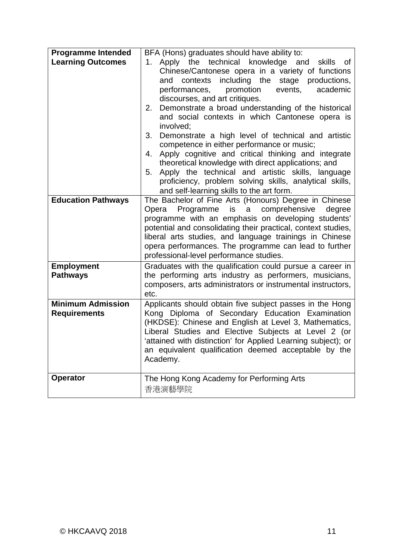| <b>Programme Intended</b>                       | BFA (Hons) graduates should have ability to:                                                                                                                                                                                                                                                                                                                                                                                                                                                                                                                                                                                                                                                                                                                                    |
|-------------------------------------------------|---------------------------------------------------------------------------------------------------------------------------------------------------------------------------------------------------------------------------------------------------------------------------------------------------------------------------------------------------------------------------------------------------------------------------------------------------------------------------------------------------------------------------------------------------------------------------------------------------------------------------------------------------------------------------------------------------------------------------------------------------------------------------------|
| <b>Learning Outcomes</b>                        | 1. Apply the technical knowledge and skills of<br>Chinese/Cantonese opera in a variety of functions<br>including the stage<br>contexts<br>productions,<br>and<br>performances,<br>promotion<br>events,<br>academic<br>discourses, and art critiques.<br>Demonstrate a broad understanding of the historical<br>2.<br>and social contexts in which Cantonese opera is<br>involved;<br>3. Demonstrate a high level of technical and artistic<br>competence in either performance or music;<br>Apply cognitive and critical thinking and integrate<br>4.<br>theoretical knowledge with direct applications; and<br>Apply the technical and artistic skills, language<br>5.<br>proficiency, problem solving skills, analytical skills,<br>and self-learning skills to the art form. |
| <b>Education Pathways</b>                       | The Bachelor of Fine Arts (Honours) Degree in Chinese<br>Programme is a comprehensive<br>degree<br>Opera<br>programme with an emphasis on developing students'<br>potential and consolidating their practical, context studies,<br>liberal arts studies, and language trainings in Chinese<br>opera performances. The programme can lead to further<br>professional-level performance studies.                                                                                                                                                                                                                                                                                                                                                                                  |
| <b>Employment</b><br><b>Pathways</b>            | Graduates with the qualification could pursue a career in<br>the performing arts industry as performers, musicians,<br>composers, arts administrators or instrumental instructors,<br>etc.                                                                                                                                                                                                                                                                                                                                                                                                                                                                                                                                                                                      |
| <b>Minimum Admission</b><br><b>Requirements</b> | Applicants should obtain five subject passes in the Hong<br>Kong Diploma of Secondary Education Examination<br>(HKDSE): Chinese and English at Level 3, Mathematics,<br>Liberal Studies and Elective Subjects at Level 2 (or<br>'attained with distinction' for Applied Learning subject); or<br>an equivalent qualification deemed acceptable by the<br>Academy.                                                                                                                                                                                                                                                                                                                                                                                                               |
| <b>Operator</b>                                 | The Hong Kong Academy for Performing Arts<br>香港演藝學院                                                                                                                                                                                                                                                                                                                                                                                                                                                                                                                                                                                                                                                                                                                             |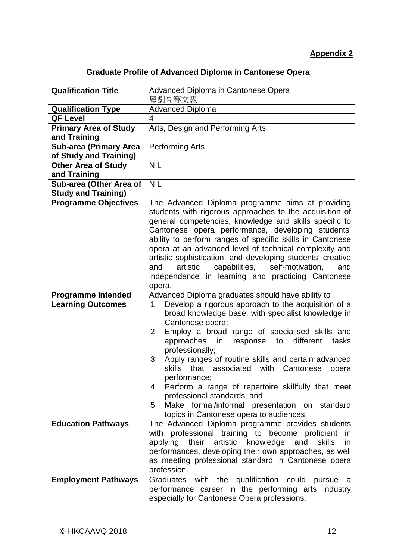## **Appendix 2**

# **Graduate Profile of Advanced Diploma in Cantonese Opera**

| <b>Qualification Title</b>    | Advanced Diploma in Cantonese Opera<br>粵劇高等文憑                                                                  |
|-------------------------------|----------------------------------------------------------------------------------------------------------------|
| <b>Qualification Type</b>     | <b>Advanced Diploma</b>                                                                                        |
| <b>QF Level</b>               | 4                                                                                                              |
| <b>Primary Area of Study</b>  | Arts, Design and Performing Arts                                                                               |
| and Training                  |                                                                                                                |
| <b>Sub-area (Primary Area</b> | <b>Performing Arts</b>                                                                                         |
| of Study and Training)        |                                                                                                                |
| <b>Other Area of Study</b>    | <b>NIL</b>                                                                                                     |
| and Training                  |                                                                                                                |
| Sub-area (Other Area of       | <b>NIL</b>                                                                                                     |
| <b>Study and Training)</b>    |                                                                                                                |
| <b>Programme Objectives</b>   | The Advanced Diploma programme aims at providing                                                               |
|                               | students with rigorous approaches to the acquisition of                                                        |
|                               | general competencies, knowledge and skills specific to                                                         |
|                               | Cantonese opera performance, developing students'                                                              |
|                               | ability to perform ranges of specific skills in Cantonese                                                      |
|                               | opera at an advanced level of technical complexity and                                                         |
|                               | artistic sophistication, and developing students' creative                                                     |
|                               | capabilities,<br>self-motivation,<br>artistic<br>and<br>and                                                    |
|                               | independence in learning and practicing Cantonese                                                              |
| <b>Programme Intended</b>     | opera.                                                                                                         |
| <b>Learning Outcomes</b>      | Advanced Diploma graduates should have ability to<br>Develop a rigorous approach to the acquisition of a<br>1. |
|                               | broad knowledge base, with specialist knowledge in                                                             |
|                               | Cantonese opera;                                                                                               |
|                               | Employ a broad range of specialised skills and<br>2.                                                           |
|                               | approaches in<br>different<br>response<br>to<br>tasks                                                          |
|                               | professionally;                                                                                                |
|                               | Apply ranges of routine skills and certain advanced<br>3.                                                      |
|                               | that associated<br><b>skills</b><br>with<br>Cantonese<br>opera                                                 |
|                               | performance;                                                                                                   |
|                               | Perform a range of repertoire skillfully that meet<br>4.                                                       |
|                               | professional standards; and                                                                                    |
|                               | Make formal/informal presentation on standard<br>5.                                                            |
|                               | topics in Cantonese opera to audiences.                                                                        |
| <b>Education Pathways</b>     | The Advanced Diploma programme provides students                                                               |
|                               | with professional training to become proficient<br>- in                                                        |
|                               | applying their artistic knowledge<br>and<br>skills<br>in.                                                      |
|                               | performances, developing their own approaches, as well                                                         |
|                               | as meeting professional standard in Cantonese opera                                                            |
|                               | profession.                                                                                                    |
| <b>Employment Pathways</b>    | Graduates with the qualification could<br>pursue<br>a                                                          |
|                               | performance career in the performing arts industry                                                             |
|                               | especially for Cantonese Opera professions.                                                                    |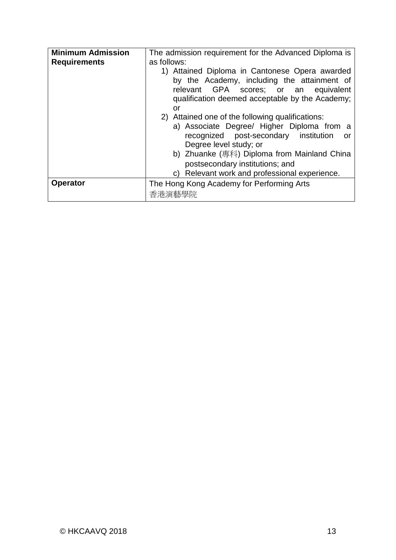| <b>Minimum Admission</b> | The admission requirement for the Advanced Diploma is                                                                                                                                                                                                                                                                                                                                                                                    |  |  |
|--------------------------|------------------------------------------------------------------------------------------------------------------------------------------------------------------------------------------------------------------------------------------------------------------------------------------------------------------------------------------------------------------------------------------------------------------------------------------|--|--|
| <b>Requirements</b>      | as follows:<br>1) Attained Diploma in Cantonese Opera awarded<br>by the Academy, including the attainment of<br>relevant GPA scores; or an equivalent<br>qualification deemed acceptable by the Academy;<br>or<br>2) Attained one of the following qualifications:<br>a) Associate Degree/ Higher Diploma from a<br>recognized post-secondary institution<br>or<br>Degree level study; or<br>b) Zhuanke (專科) Diploma from Mainland China |  |  |
|                          | postsecondary institutions; and<br>c) Relevant work and professional experience.                                                                                                                                                                                                                                                                                                                                                         |  |  |
| <b>Operator</b>          | The Hong Kong Academy for Performing Arts<br>香港演藝學院                                                                                                                                                                                                                                                                                                                                                                                      |  |  |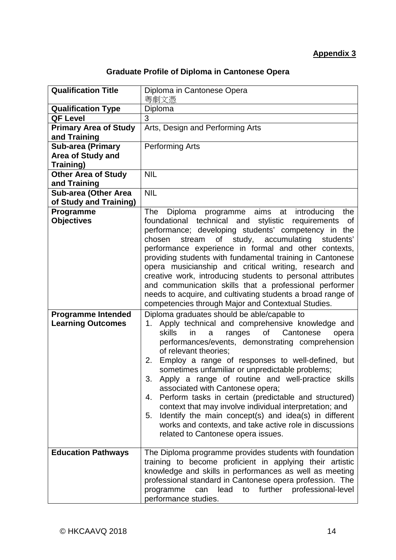## **Appendix 3**

# **Graduate Profile of Diploma in Cantonese Opera**

| <b>Qualification Title</b>   | Diploma in Cantonese Opera<br>粵劇文憑                                                                                  |
|------------------------------|---------------------------------------------------------------------------------------------------------------------|
| <b>Qualification Type</b>    | Diploma                                                                                                             |
| <b>QF Level</b>              | 3                                                                                                                   |
| <b>Primary Area of Study</b> | Arts, Design and Performing Arts                                                                                    |
| and Training                 |                                                                                                                     |
| Sub-area (Primary            | <b>Performing Arts</b>                                                                                              |
| <b>Area of Study and</b>     |                                                                                                                     |
| <b>Training)</b>             |                                                                                                                     |
| <b>Other Area of Study</b>   | <b>NIL</b>                                                                                                          |
| and Training                 |                                                                                                                     |
| <b>Sub-area (Other Area</b>  | <b>NIL</b>                                                                                                          |
| of Study and Training)       |                                                                                                                     |
| Programme                    | Diploma programme aims at introducing<br>the<br>The                                                                 |
| <b>Objectives</b>            | foundational technical and<br>stylistic<br>requirements of                                                          |
|                              | performance; developing students' competency in the                                                                 |
|                              | chosen<br>of<br>study, accumulating<br>stream<br>students'<br>performance experience in formal and other contexts,  |
|                              | providing students with fundamental training in Cantonese                                                           |
|                              | opera musicianship and critical writing, research and                                                               |
|                              | creative work, introducing students to personal attributes                                                          |
|                              | and communication skills that a professional performer                                                              |
|                              | needs to acquire, and cultivating students a broad range of                                                         |
|                              | competencies through Major and Contextual Studies.                                                                  |
| <b>Programme Intended</b>    | Diploma graduates should be able/capable to                                                                         |
| <b>Learning Outcomes</b>     | Apply technical and comprehensive knowledge and<br>1.                                                               |
|                              | skills<br>Cantonese<br>ranges<br>of<br>opera<br>in.<br>a                                                            |
|                              | performances/events, demonstrating comprehension                                                                    |
|                              | of relevant theories;                                                                                               |
|                              | Employ a range of responses to well-defined, but<br>2.                                                              |
|                              | sometimes unfamiliar or unpredictable problems;                                                                     |
|                              | Apply a range of routine and well-practice skills<br>3.                                                             |
|                              | associated with Cantonese opera;                                                                                    |
|                              | Perform tasks in certain (predictable and structured)<br>4.                                                         |
|                              | context that may involve individual interpretation; and                                                             |
|                              | Identify the main concept(s) and idea(s) in different<br>5.                                                         |
|                              | works and contexts, and take active role in discussions                                                             |
|                              | related to Cantonese opera issues.                                                                                  |
|                              |                                                                                                                     |
| <b>Education Pathways</b>    | The Diploma programme provides students with foundation<br>training to become proficient in applying their artistic |
|                              | knowledge and skills in performances as well as meeting                                                             |
|                              | professional standard in Cantonese opera profession. The                                                            |
|                              | lead to further professional-level<br>programme<br>can                                                              |
|                              | performance studies.                                                                                                |